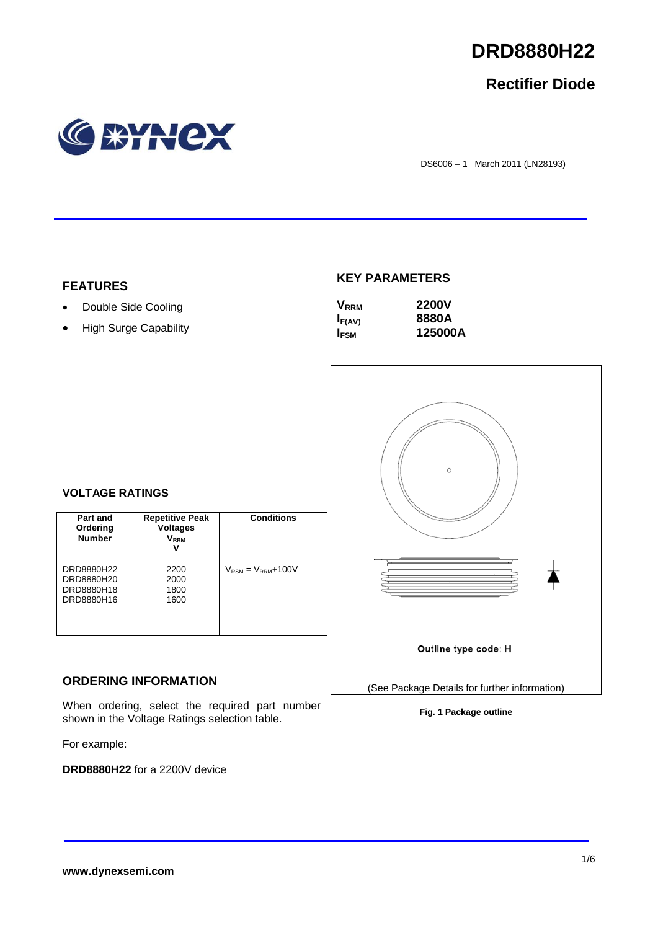

# **Rectifier Diode**



DS6006 – 1 March 2011 (LN28193)

#### **FEATURES**

- Double Side Cooling
- High Surge Capability

## **KEY PARAMETERS**

| <b>V</b> <sub>RRM</sub> | <b>2200V</b> |
|-------------------------|--------------|
| $I_{F(AV)}$             | 8880A        |
| <b>I</b> <sub>FSM</sub> | 125000A      |



#### **Fig. 1 Package outline**

#### **VOLTAGE RATINGS**

| Part and<br>Ordering<br><b>Number</b>                | <b>Repetitive Peak</b><br><b>Voltages</b><br>$\mathsf{V}_\mathsf{RRM}$ | <b>Conditions</b>                        |
|------------------------------------------------------|------------------------------------------------------------------------|------------------------------------------|
| DRD8880H22<br>DRD8880H20<br>DRD8880H18<br>DRD8880H16 | 2200<br>2000<br>1800<br>1600                                           | $V_{\text{RSM}} = V_{\text{RRM}} + 100V$ |

## **ORDERING INFORMATION**

When ordering, select the required part number shown in the Voltage Ratings selection table.

For example:

**DRD8880H22** for a 2200V device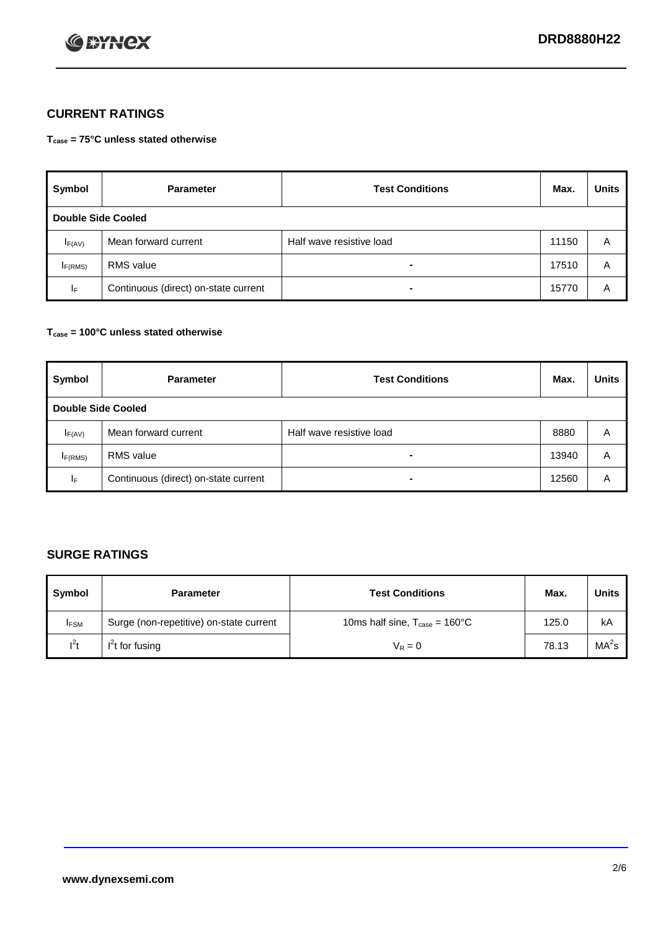

## **CURRENT RATINGS**

**Tcase = 75°C unless stated otherwise**

| Symbol      | <b>Parameter</b>                     | <b>Test Conditions</b>   | Max.  | <b>Units</b> |  |  |
|-------------|--------------------------------------|--------------------------|-------|--------------|--|--|
|             | Double Side Cooled                   |                          |       |              |  |  |
| $I_{F(AV)}$ | Mean forward current                 | Half wave resistive load | 11150 | A            |  |  |
| IF(RMS)     | <b>RMS</b> value                     | $\blacksquare$           | 17510 | A            |  |  |
| IF.         | Continuous (direct) on-state current | $\blacksquare$           | 15770 | A            |  |  |

#### **Tcase = 100°C unless stated otherwise**

| Symbol              | <b>Parameter</b>                     | <b>Test Conditions</b>   | Max.  | <b>Units</b> |  |  |
|---------------------|--------------------------------------|--------------------------|-------|--------------|--|--|
|                     | <b>Double Side Cooled</b>            |                          |       |              |  |  |
| $I_{F(AV)}$         | Mean forward current                 | Half wave resistive load | 8880  | Α            |  |  |
| I <sub>F(RMS)</sub> | <b>RMS</b> value                     | $\overline{\phantom{0}}$ | 13940 | A            |  |  |
| IF                  | Continuous (direct) on-state current | ۰                        | 12560 | A            |  |  |

## **SURGE RATINGS**

| Symbol      | <b>Parameter</b>                        | <b>Test Conditions</b>                            | Max.  | <b>Units</b>      |
|-------------|-----------------------------------------|---------------------------------------------------|-------|-------------------|
| <b>IFSM</b> | Surge (non-repetitive) on-state current | 10ms half sine, $T_{\text{case}} = 160^{\circ}$ C | 125.0 | kA                |
| $l^2t$      | I <sup>'</sup> t for fusing             | $V_R = 0$                                         | 78.13 | MA <sup>2</sup> s |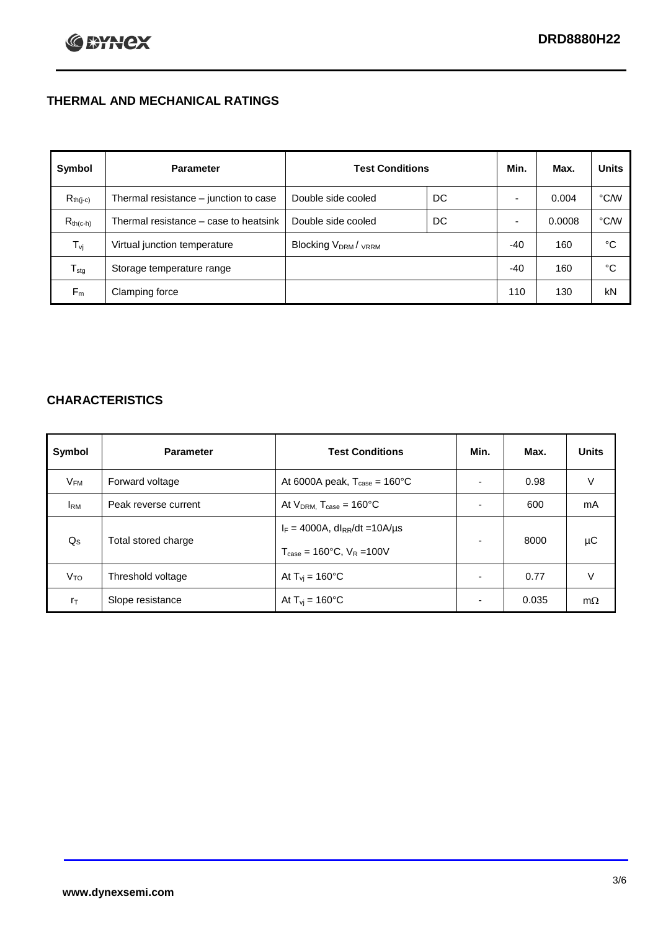## **THERMAL AND MECHANICAL RATINGS**

| Symbol           | <b>Parameter</b>                      | <b>Test Conditions</b>                      |    | Min.  | Max.   | <b>Units</b>  |
|------------------|---------------------------------------|---------------------------------------------|----|-------|--------|---------------|
| $R_{th(j-c)}$    | Thermal resistance - junction to case | Double side cooled                          | DC |       | 0.004  | °C∕W          |
| $R_{th(c-h)}$    | Thermal resistance – case to heatsink | Double side cooled                          | DC |       | 0.0008 | $\degree$ C/W |
| $T_{\rm vj}$     | Virtual junction temperature          | Blocking V <sub>DRM</sub> / <sub>VRRM</sub> |    | -40   | 160    | °C            |
| $T_{\text{stg}}$ | Storage temperature range             |                                             |    | $-40$ | 160    | °C            |
| $F_m$            | Clamping force                        |                                             |    | 110   | 130    | kN            |

## **CHARACTERISTICS**

| Symbol                   | <b>Parameter</b>     | <b>Test Conditions</b>                          | Min.           | Max.  | <b>Units</b> |
|--------------------------|----------------------|-------------------------------------------------|----------------|-------|--------------|
| $\mathsf{V}_\mathsf{FM}$ | Forward voltage      | At 6000A peak, $T_{\text{case}} = 160^{\circ}C$ |                | 0.98  | V            |
| <b>I</b> <sub>RM</sub>   | Peak reverse current | At $V_{DRM}$ , $T_{case} = 160^{\circ}C$        | ۰              | 600   | mA           |
| $Q_{\rm S}$              | Total stored charge  | $I_F = 4000A$ , dl <sub>RR</sub> /dt = 10A/us   | $\blacksquare$ | 8000  | μC           |
|                          | Threshold voltage    | $T_{\text{case}} = 160^{\circ}$ C. $V_R = 100V$ | $\blacksquare$ | 0.77  | V            |
| V <sub>TO</sub>          |                      | At $T_{vi}$ = 160 $^{\circ}$ C                  |                |       |              |
| $r_{\text{T}}$           | Slope resistance     | At $T_{vi} = 160^{\circ}$ C                     | ۰              | 0.035 | $m\Omega$    |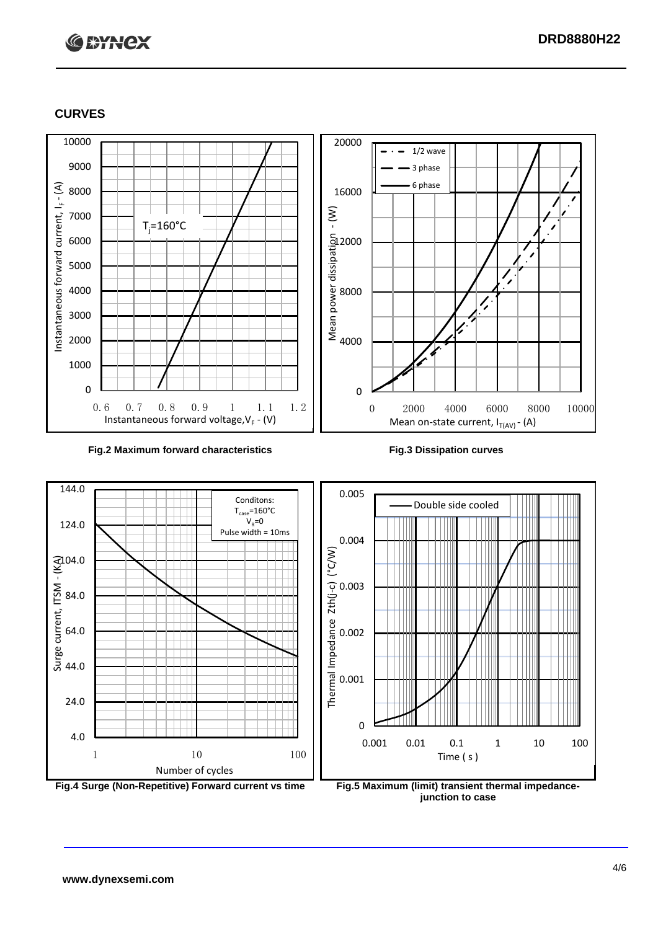

### **CURVES**



#### **Fig.2 Maximum forward characteristics Fig.3 Dissipation curves**



**junction to case**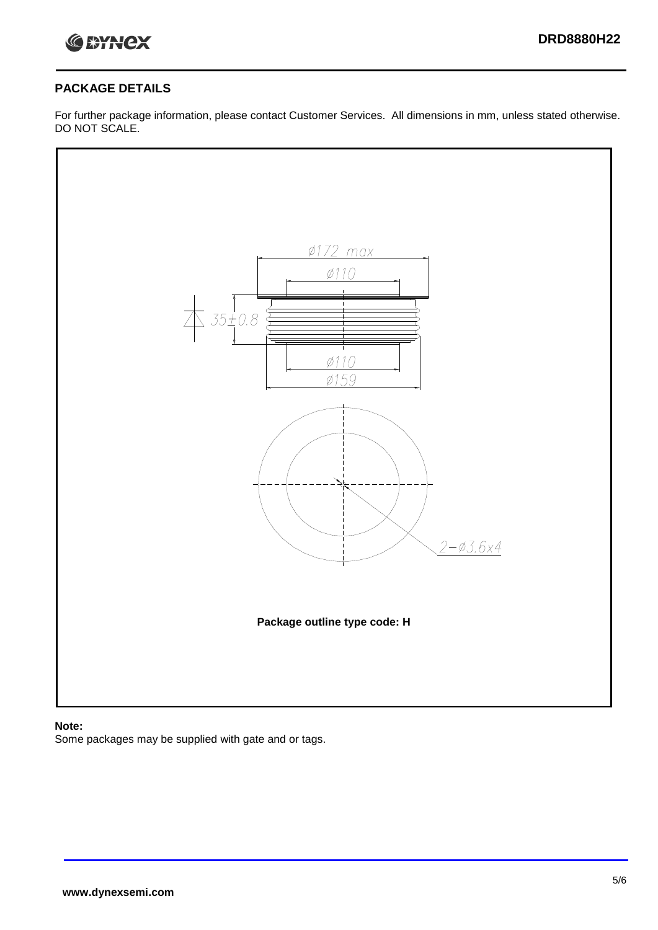

## **PACKAGE DETAILS**

For further package information, please contact Customer Services. All dimensions in mm, unless stated otherwise. DO NOT SCALE.



## **Note:**

Some packages may be supplied with gate and or tags.